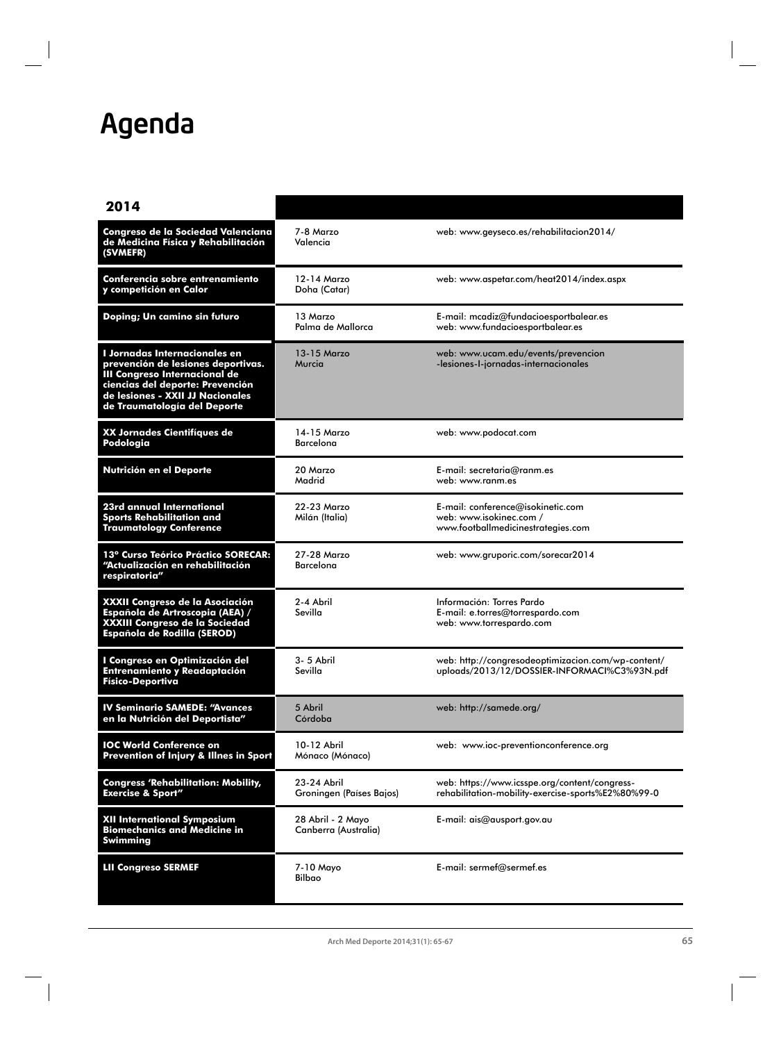## Agenda

| 2014                                                                                                                                                                                                         |                                           |                                                                                                            |
|--------------------------------------------------------------------------------------------------------------------------------------------------------------------------------------------------------------|-------------------------------------------|------------------------------------------------------------------------------------------------------------|
| Congreso de la Sociedad Valenciana<br>de Medicina Física y Rehabilitación<br>(SVMEFR)                                                                                                                        | 7-8 Marzo<br>Valencia                     | web: www.geyseco.es/rehabilitacion2014/                                                                    |
| Conferencia sobre entrenamiento<br>y competición en Calor                                                                                                                                                    | 12-14 Marzo<br>Doha (Catar)               | web: www.aspetar.com/heat2014/index.aspx                                                                   |
| Doping; Un camino sin futuro                                                                                                                                                                                 | 13 Marzo<br>Palma de Mallorca             | E-mail: mcadiz@fundacioesportbalear.es<br>web: www.fundacioesportbalear.es                                 |
| I Jornadas Internacionales en<br>prevención de lesiones deportivas.<br>III Congreso Internacional de<br>ciencias del deporte: Prevención<br>de lesiones - XXII JJ Nacionales<br>de Traumatología del Deporte | 13-15 Marzo<br>Murcia                     | web: www.ucam.edu/events/prevencion<br>-lesiones-I-jornadas-internacionales                                |
| XX Jornades Cientifíques de<br>Podologia                                                                                                                                                                     | 14-15 Marzo<br><b>Barcelona</b>           | web: www.podocat.com                                                                                       |
| Nutrición en el Deporte                                                                                                                                                                                      | 20 Marzo<br>Madrid                        | E-mail: secretaria@ranm.es<br>web: www.ranm.es                                                             |
| 23rd annual International<br>Sports Rehabilitation and<br><b>Traumatology Conference</b>                                                                                                                     | 22-23 Marzo<br>Milán (Italia)             | <b>E</b> -mail: conference@isokinetic.com<br>web: www.isokinec.com /<br>www.footballmedicinestrategies.com |
| 13° Curso Teórico Práctico SORECAR:<br>"Actualización en rehabilitación<br>respiratoria"                                                                                                                     | 27-28 Marzo<br>Barcelona                  | web: www.gruporic.com/sorecar2014                                                                          |
| XXXII Congreso de la Asociación<br>Española de Artroscopia (AEA) /<br>XXXIII Congreso de la Sociedad<br>Española de Rodilla (SEROD)                                                                          | 2-4 Abril<br>Sevilla                      | Información: Torres Pardo<br>E-mail: e.torres@torrespardo.com<br>web: www.torrespardo.com                  |
| I Congreso en Optimización del<br>Entrenamiento y Readaptación<br><b>Físico-Deportiva</b>                                                                                                                    | 3-5 Abril<br>Sevilla                      | web: http://congresodeoptimizacion.com/wp-content/<br>uploads/2013/12/DOSSIER-INFORMACI%C3%93N.pdf         |
| <b>IV Seminario SAMEDE: "Avances</b><br>en la Nutrición del Deportista"                                                                                                                                      | 5 Abril<br>Córdoba                        | web: http://samede.org/                                                                                    |
| <b>IOC World Conference on</b><br>Prevention of Injury & Illnes in Sport                                                                                                                                     | 10-12 Abril<br>Mónaco (Mónaco)            | web: www.ioc-preventionconference.org                                                                      |
| <b>Congress 'Rehabilitation: Mobility,</b><br><b>Exercise &amp; Sport"</b>                                                                                                                                   | 23-24 Abril<br>Groningen (Países Bajos)   | web: https://www.icsspe.org/content/congress-<br>rehabilitation-mobility-exercise-sports%E2%80%99-0        |
| XII International Symposium<br><b>Biomechanics and Medicine in</b><br>Swimming                                                                                                                               | 28 Abril - 2 Mayo<br>Canberra (Australia) | E-mail: ais@ausport.gov.au                                                                                 |
| <b>LII Congreso SERMEF</b>                                                                                                                                                                                   | 7-10 Mayo<br>Bilbao                       | E-mail: sermef@sermef.es                                                                                   |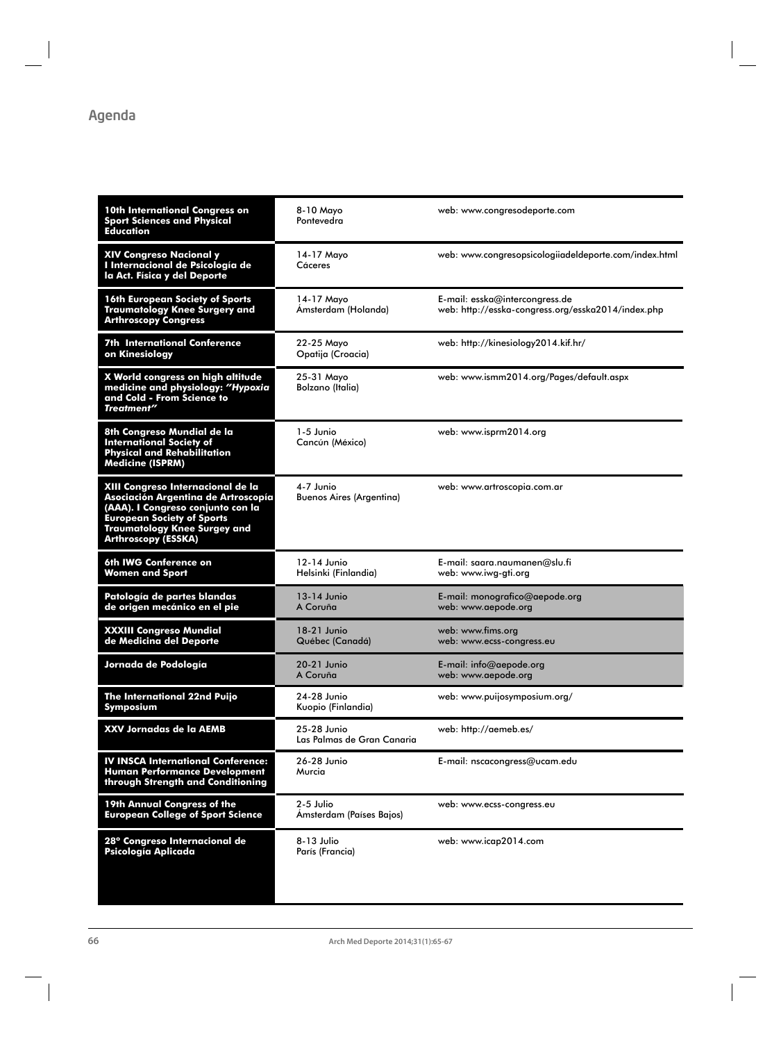| 10th International Congress on<br><b>Sport Sciences and Physical</b><br>Education                                                                                                                                       | 8-10 Mayo<br>Pontevedra                      | web: www.congresodeporte.com                                                         |
|-------------------------------------------------------------------------------------------------------------------------------------------------------------------------------------------------------------------------|----------------------------------------------|--------------------------------------------------------------------------------------|
| <b>XIV Congreso Nacional y</b><br>I Internacional de Psicología de<br>la Act. Física y del Deporte                                                                                                                      | 14-17 Mayo<br>Cáceres                        | web: www.congresopsicologiiadeldeporte.com/index.html                                |
| <b>16th European Society of Sports</b><br><b>Traumatology Knee Surgery and</b><br><b>Arthroscopy Congress</b>                                                                                                           | 14-17 Mayo<br>Ámsterdam (Holanda)            | E-mail: esska@intercongress.de<br>web: http://esska-congress.org/esska2014/index.php |
| <b>7th International Conference</b><br>on Kinesiology                                                                                                                                                                   | 22-25 Mavo<br>Opatija (Croacia)              | web: http://kinesiology2014.kif.hr/                                                  |
| X World congress on high altitude<br>medicine and physiology: "Hypoxia<br>and Cold - From Science to<br>Treatment"                                                                                                      | 25-31 Mayo<br>Bolzano (Italia)               | web: www.ismm2014.org/Pages/default.aspx                                             |
| 8th Congreso Mundial de la<br><b>International Society of</b><br><b>Physical and Rehabilitation</b><br><b>Medicine (ISPRM)</b>                                                                                          | 1-5 Junio<br>Cancún (México)                 | web: www.isprm2014.org                                                               |
| XIII Congreso Internacional de la<br>Asociación Argentina de Artroscopía<br>(AAA). I Congreso conjunto con la<br><b>European Society of Sports</b><br><b>Traumatology Knee Surgey and</b><br><b>Arthroscopy (ESSKA)</b> | 4-7 Junio<br><b>Buenos Aires (Argentina)</b> | web: www.artroscopia.com.ar                                                          |
| 6th IWG Conference on<br><b>Women and Sport</b>                                                                                                                                                                         | 12-14 Junio<br>Helsinki (Finlandia)          | E-mail: saara.naumanen@slu.fi<br>web: www.iwg-gti.org                                |
| Patología de partes blandas<br>de origen mecánico en el pie                                                                                                                                                             | 13-14 Junio<br>A Coruña                      | E-mail: monografico@aepode.org<br>web: www.aepode.org                                |
| <b>XXXIII Congreso Mundial</b><br>de Medicina del Deporte                                                                                                                                                               | 18-21 Junio<br>Québec (Canadá)               | web: www.fims.org<br>web: www.ecss-congress.eu                                       |
| Jornada de Podología                                                                                                                                                                                                    | 20-21 Junio<br>A Coruña                      | E-mail: info@aepode.org<br>web: www.aepode.org                                       |
| The International 22nd Puijo<br>Symposi <u>um</u>                                                                                                                                                                       | 24-28 Junio<br>Kuopio (Finlandia)            | web: www.puijosymposium.org/                                                         |
| <b>XXV Jornadas de la AEMB</b>                                                                                                                                                                                          | 25-28 Junio<br>Las Palmas de Gran Canaria    | web: http://aemeb.es/                                                                |
| <b>IV INSCA International Conference:</b><br><b>Human Performance Development</b><br>through Strength and Conditioning                                                                                                  | 26-28 Junio<br>Murcia                        | E-mail: nscacongress@ucam.edu                                                        |
| 19th Annual Congress of the<br><b>European College of Sport Science</b>                                                                                                                                                 | 2-5 Julio<br>Ámsterdam (Países Bajos)        | web: www.ecss-congress.eu                                                            |
| 28° Congreso Internacional de<br>Psicología Aplicada                                                                                                                                                                    | 8-13 Julio<br>París (Francia)                | web: www.icap2014.com                                                                |